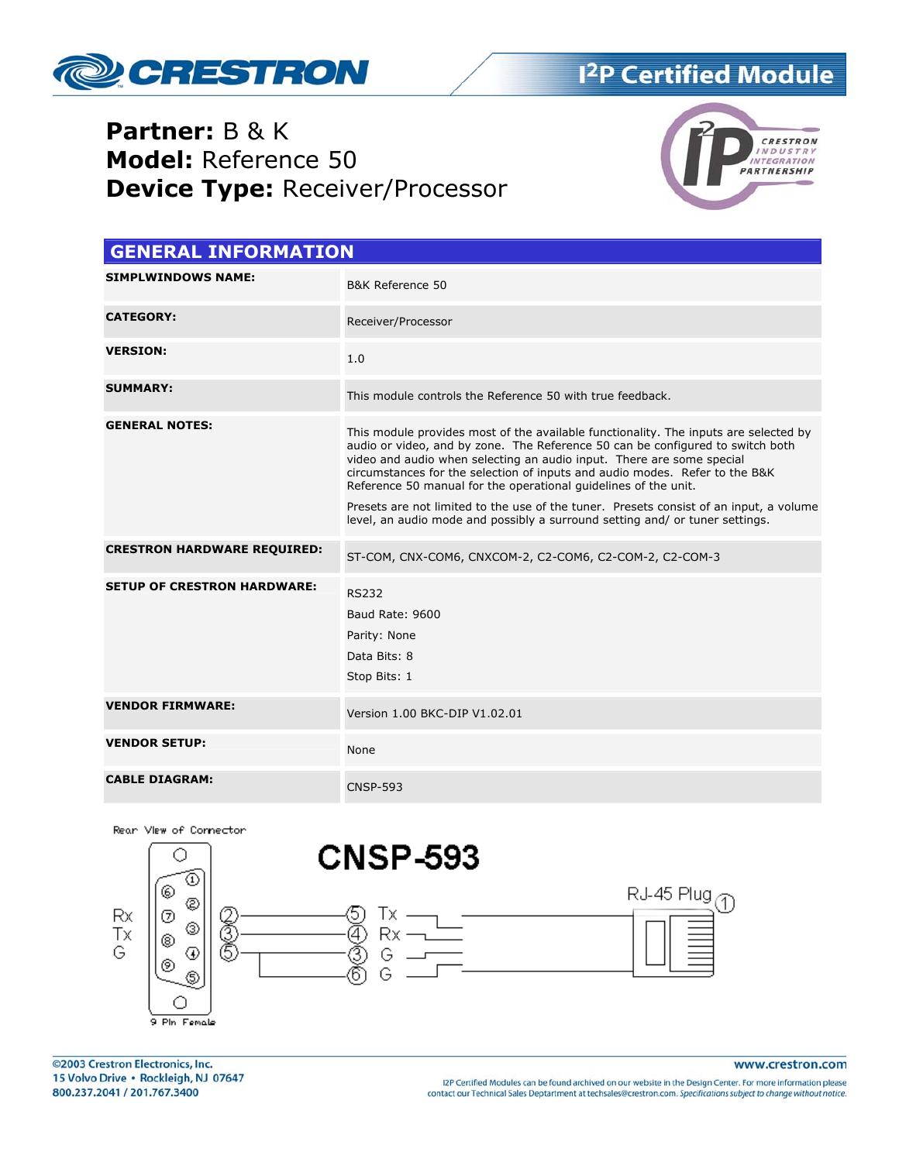

## **Partner: B & K** Model: Reference 50 **Device Type: Receiver/Processor**



| <b>GENERAL INFORMATION</b>         |                                                                                                                                                                                                                                                                                                                                                                                                                                                                                                                                                                             |  |  |
|------------------------------------|-----------------------------------------------------------------------------------------------------------------------------------------------------------------------------------------------------------------------------------------------------------------------------------------------------------------------------------------------------------------------------------------------------------------------------------------------------------------------------------------------------------------------------------------------------------------------------|--|--|
| <b>SIMPLWINDOWS NAME:</b>          | B&K Reference 50                                                                                                                                                                                                                                                                                                                                                                                                                                                                                                                                                            |  |  |
| <b>CATEGORY:</b>                   | Receiver/Processor                                                                                                                                                                                                                                                                                                                                                                                                                                                                                                                                                          |  |  |
| <b>VERSION:</b>                    | 1.0                                                                                                                                                                                                                                                                                                                                                                                                                                                                                                                                                                         |  |  |
| <b>SUMMARY:</b>                    | This module controls the Reference 50 with true feedback.                                                                                                                                                                                                                                                                                                                                                                                                                                                                                                                   |  |  |
| <b>GENERAL NOTES:</b>              | This module provides most of the available functionality. The inputs are selected by<br>audio or video, and by zone. The Reference 50 can be configured to switch both<br>video and audio when selecting an audio input. There are some special<br>circumstances for the selection of inputs and audio modes. Refer to the B&K<br>Reference 50 manual for the operational guidelines of the unit.<br>Presets are not limited to the use of the tuner. Presets consist of an input, a volume<br>level, an audio mode and possibly a surround setting and/ or tuner settings. |  |  |
| <b>CRESTRON HARDWARE REQUIRED:</b> | ST-COM, CNX-COM6, CNXCOM-2, C2-COM6, C2-COM-2, C2-COM-3                                                                                                                                                                                                                                                                                                                                                                                                                                                                                                                     |  |  |
| <b>SETUP OF CRESTRON HARDWARE:</b> | <b>RS232</b><br>Baud Rate: 9600<br>Parity: None<br>Data Bits: 8<br>Stop Bits: 1                                                                                                                                                                                                                                                                                                                                                                                                                                                                                             |  |  |
| <b>VENDOR FIRMWARE:</b>            | Version 1.00 BKC-DIP V1.02.01                                                                                                                                                                                                                                                                                                                                                                                                                                                                                                                                               |  |  |
| <b>VENDOR SETUP:</b>               | None                                                                                                                                                                                                                                                                                                                                                                                                                                                                                                                                                                        |  |  |
| <b>CABLE DIAGRAM:</b>              | <b>CNSP-593</b>                                                                                                                                                                                                                                                                                                                                                                                                                                                                                                                                                             |  |  |





www.crestron.com

I2P Certified Modules can be found archived on our website in the Design Center. For more information please contact our Technical Sales Deptartment at techsales@crestron.com. Specifications subject to change without notice.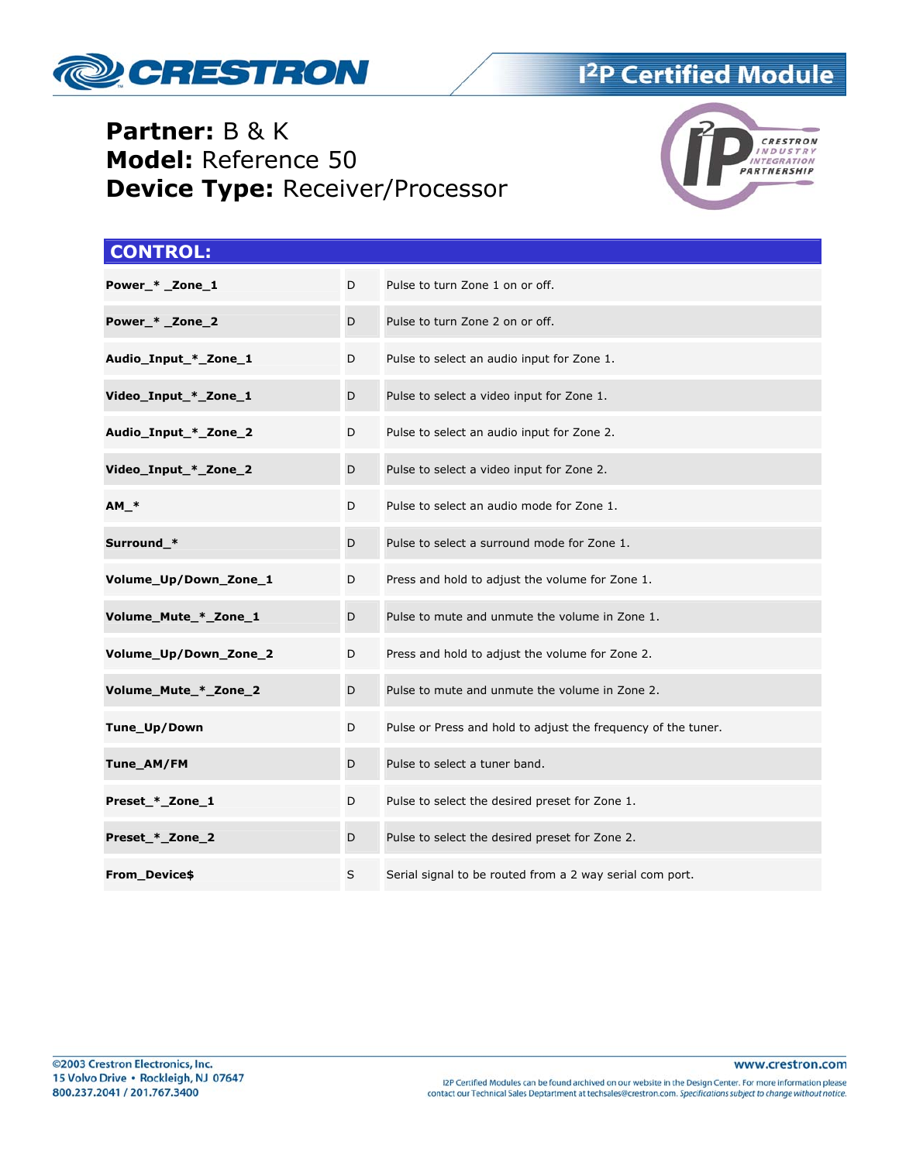

## **Partner:** B & K **Model:** Reference 50 **Device Type:** Receiver/Processor



#### **CONTROL:**

| Power_* _Zone_1       | D | Pulse to turn Zone 1 on or off.                               |
|-----------------------|---|---------------------------------------------------------------|
|                       |   |                                                               |
| Power_* _Zone_2       | D | Pulse to turn Zone 2 on or off.                               |
| Audio_Input_*_Zone_1  | D | Pulse to select an audio input for Zone 1.                    |
| Video_Input_*_Zone_1  | D | Pulse to select a video input for Zone 1.                     |
| Audio_Input_*_Zone_2  | D | Pulse to select an audio input for Zone 2.                    |
| Video_Input_*_Zone_2  | D | Pulse to select a video input for Zone 2.                     |
| $AM.*$                | D | Pulse to select an audio mode for Zone 1.                     |
| Surround_*            | D | Pulse to select a surround mode for Zone 1.                   |
| Volume_Up/Down_Zone_1 | D | Press and hold to adjust the volume for Zone 1.               |
| Volume_Mute_*_Zone_1  | D | Pulse to mute and unmute the volume in Zone 1.                |
| Volume_Up/Down_Zone_2 | D | Press and hold to adjust the volume for Zone 2.               |
| Volume_Mute_*_Zone_2  | D | Pulse to mute and unmute the volume in Zone 2.                |
| Tune_Up/Down          | D | Pulse or Press and hold to adjust the frequency of the tuner. |
| Tune_AM/FM            | D | Pulse to select a tuner band.                                 |
| Preset_*_Zone_1       | D | Pulse to select the desired preset for Zone 1.                |
| Preset_*_Zone_2       | D | Pulse to select the desired preset for Zone 2.                |
| From_Device\$         | S | Serial signal to be routed from a 2 way serial com port.      |

www.crestron.com

I2P Certified Modules can be found archived on our website in the Design Center. For more information please<br>contact our Technical Sales Deptartment at techsales@crestron.com. Specifications subject to change without notic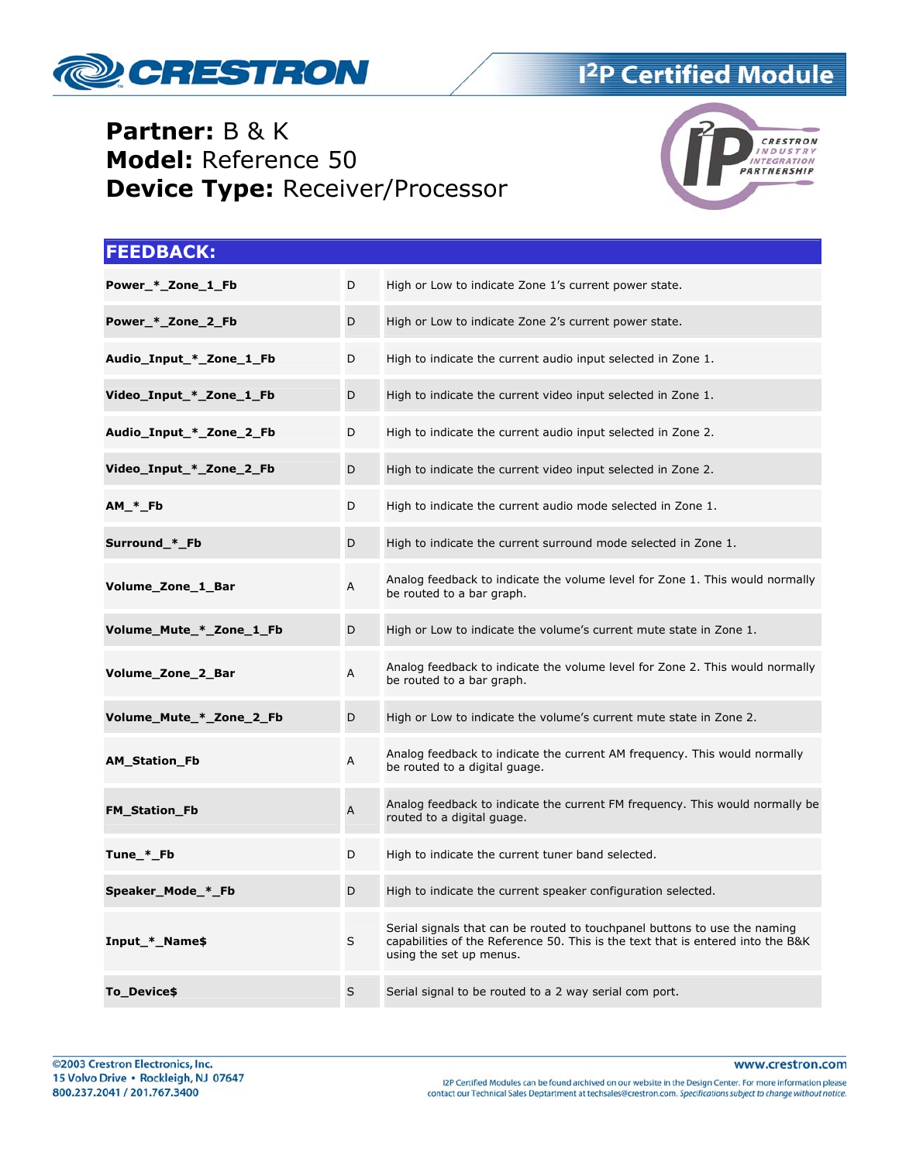

## **Partner: B & K** Model: Reference 50 **Device Type: Receiver/Processor**



| <b>FEEDBACK:</b>        |   |                                                                                                                                                                                         |
|-------------------------|---|-----------------------------------------------------------------------------------------------------------------------------------------------------------------------------------------|
| Power_*_Zone_1_Fb       | D | High or Low to indicate Zone 1's current power state.                                                                                                                                   |
| Power_*_Zone_2_Fb       | D | High or Low to indicate Zone 2's current power state.                                                                                                                                   |
| Audio_Input_*_Zone_1_Fb | D | High to indicate the current audio input selected in Zone 1.                                                                                                                            |
| Video_Input_*_Zone_1_Fb | D | High to indicate the current video input selected in Zone 1.                                                                                                                            |
| Audio_Input_*_Zone_2_Fb | D | High to indicate the current audio input selected in Zone 2.                                                                                                                            |
| Video_Input_*_Zone_2_Fb | D | High to indicate the current video input selected in Zone 2.                                                                                                                            |
| $AM_*F$                 | D | High to indicate the current audio mode selected in Zone 1.                                                                                                                             |
| Surround_*_Fb           | D | High to indicate the current surround mode selected in Zone 1.                                                                                                                          |
| Volume_Zone_1_Bar       | A | Analog feedback to indicate the volume level for Zone 1. This would normally<br>be routed to a bar graph.                                                                               |
| Volume_Mute_*_Zone_1_Fb | D | High or Low to indicate the volume's current mute state in Zone 1.                                                                                                                      |
| Volume_Zone_2_Bar       | Α | Analog feedback to indicate the volume level for Zone 2. This would normally<br>be routed to a bar graph.                                                                               |
| Volume_Mute_*_Zone_2_Fb | D | High or Low to indicate the volume's current mute state in Zone 2.                                                                                                                      |
| <b>AM_Station_Fb</b>    | A | Analog feedback to indicate the current AM frequency. This would normally<br>be routed to a digital guage.                                                                              |
| <b>FM_Station_Fb</b>    | A | Analog feedback to indicate the current FM frequency. This would normally be<br>routed to a digital guage.                                                                              |
| Tune_*_Fb               | D | High to indicate the current tuner band selected.                                                                                                                                       |
| Speaker_Mode_*_Fb       | D | High to indicate the current speaker configuration selected.                                                                                                                            |
| Input_*_Name\$          | S | Serial signals that can be routed to touchpanel buttons to use the naming<br>capabilities of the Reference 50. This is the text that is entered into the B&K<br>using the set up menus. |
| To Device\$             | S | Serial signal to be routed to a 2 way serial com port.                                                                                                                                  |

www.crestron.com

I2P Certified Modules can be found archived on our website in the Design Center. For more information please<br>contact our Technical Sales Deptartment at techsales@crestron.com. Specifications subject to change without notic